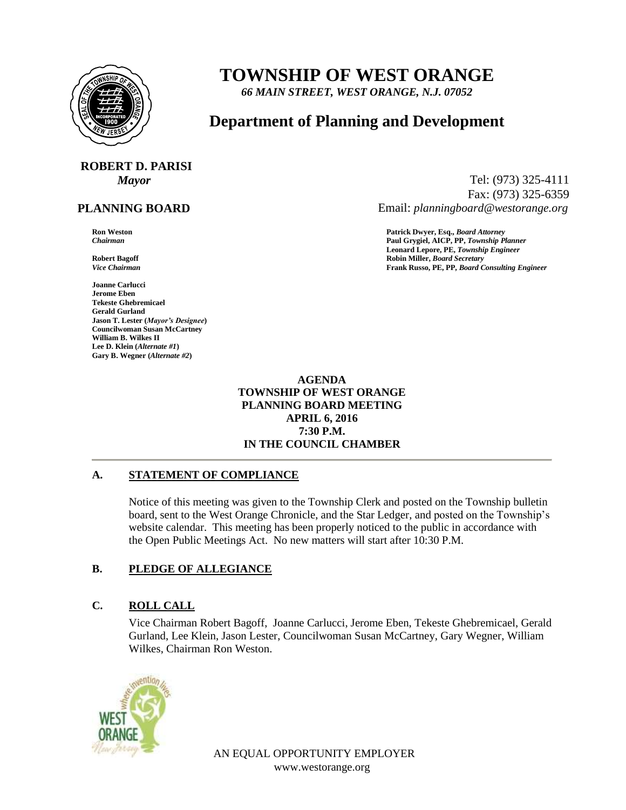

# **TOWNSHIP OF WEST ORANGE**

*66 MAIN STREET, WEST ORANGE, N.J. 07052*

## **Department of Planning and Development**

# **ROBERT D. PARISI**

## **PLANNING BOARD**

**Joanne Carlucci Jerome Eben Tekeste Ghebremicael Gerald Gurland Jason T. Lester (***Mayor's Designee***) Councilwoman Susan McCartney William B. Wilkes II Lee D. Klein (***Alternate #1***) Gary B. Wegner (***Alternate #2***)**

*Mayor* Tel: (973) 325-4111 Fax: (973) 325-6359 Email: *planningboard@westorange.org*

**Ron Weston Patrick Dwyer, Esq.,** *Board Attorney*

*Chairman* **Paul Grygiel, AICP, PP,** *Township Planner* **Leonard Lepore, PE,** *Township Engineer* **Robert Bagoff Robin Miller,** *Board Secretary Vice Chairman* **Frank Russo, PE, PP,** *Board Consulting Engineer*

> **AGENDA TOWNSHIP OF WEST ORANGE PLANNING BOARD MEETING APRIL 6, 2016 7:30 P.M. IN THE COUNCIL CHAMBER**

#### **A. STATEMENT OF COMPLIANCE**

Notice of this meeting was given to the Township Clerk and posted on the Township bulletin board, sent to the West Orange Chronicle, and the Star Ledger, and posted on the Township's website calendar. This meeting has been properly noticed to the public in accordance with the Open Public Meetings Act. No new matters will start after 10:30 P.M.

#### **B. PLEDGE OF ALLEGIANCE**

#### **C. ROLL CALL**

Vice Chairman Robert Bagoff, Joanne Carlucci, Jerome Eben, Tekeste Ghebremicael, Gerald Gurland, Lee Klein, Jason Lester, Councilwoman Susan McCartney, Gary Wegner, William Wilkes, Chairman Ron Weston.



AN EQUAL OPPORTUNITY EMPLOYER www.westorange.org